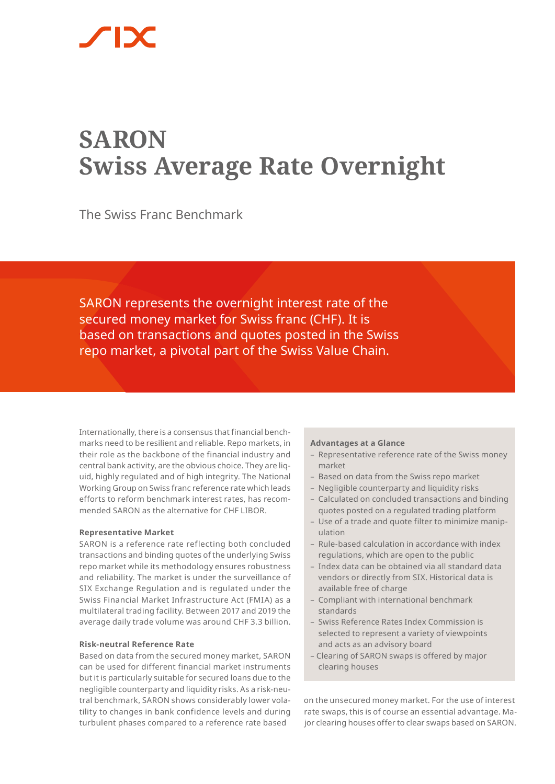# **SARON Swiss Average Rate Overnight**

The Swiss Franc Benchmark

SARON represents the overnight interest rate of the secured money market for Swiss franc (CHF). It is based on transactions and quotes posted in the Swiss repo market, a pivotal part of the Swiss Value Chain.

Internationally, there is a consensus that financial benchmarks need to be resilient and reliable. Repo markets, in their role as the backbone of the financial industry and central bank activity, are the obvious choice. They are liquid, highly regulated and of high integrity. The National Working Group on Swiss franc reference rate which leads efforts to reform benchmark interest rates, has recommended SARON as the alternative for CHF LIBOR.

# **Representative Market**

SARON is a reference rate reflecting both concluded transactions and binding quotes of the underlying Swiss repo market while its methodology ensures robustness and reliability. The market is under the surveillance of SIX Exchange Regulation and is regulated under the Swiss Financial Market Infrastructure Act (FMIA) as a multilateral trading facility. Between 2017 and 2019 the average daily trade volume was around CHF 3.3 billion.

# **Risk-neutral Reference Rate**

Based on data from the secured money market, SARON can be used for different financial market instruments but it is particularly suitable for secured loans due to the negligible counterparty and liquidity risks. As a risk-neutral benchmark, SARON shows considerably lower volatility to changes in bank confidence levels and during turbulent phases compared to a reference rate based

#### **Advantages at a Glance**

- Representative reference rate of the Swiss money market
- Based on data from the Swiss repo market
- Negligible counterparty and liquidity risks
- Calculated on concluded transactions and binding quotes posted on a regulated trading platform
- Use of a trade and quote filter to minimize manipulation
- Rule-based calculation in accordance with index regulations, which are open to the public
- Index data can be obtained via all standard data vendors or directly from SIX. Historical data is available free of charge
- Compliant with international benchmark standards
- Swiss Reference Rates Index Commission is selected to represent a variety of viewpoints and acts as an advisory board
- Clearing of SARON swaps is offered by major clearing houses

on the unsecured money market. For the use of interest rate swaps, this is of course an essential advantage. Major clearing houses offer to clear swaps based on SARON.